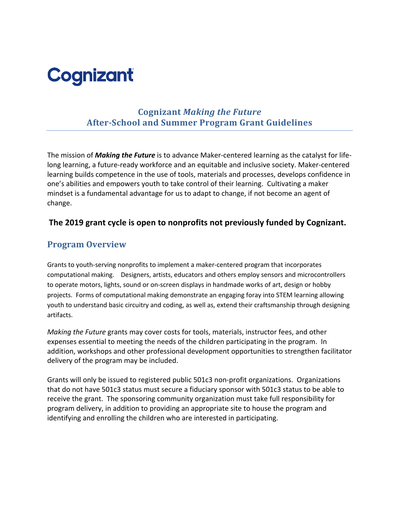# **Cognizant**

## **Cognizant** *Making the Future* **After-School and Summer Program Grant Guidelines**

The mission of *Making the Future* is to advance Maker-centered learning as the catalyst for lifelong learning, a future-ready workforce and an equitable and inclusive society. Maker-centered learning builds competence in the use of tools, materials and processes, develops confidence in one's abilities and empowers youth to take control of their learning. Cultivating a maker mindset is a fundamental advantage for us to adapt to change, if not become an agent of change.

#### **The 2019 grant cycle is open to nonprofits not previously funded by Cognizant.**

#### **Program Overview**

Grants to youth-serving nonprofits to implement a maker-centered program that incorporates computational making. Designers, artists, educators and others employ sensors and microcontrollers to operate motors, lights, sound or on-screen displays in handmade works of art, design or hobby projects. Forms of computational making demonstrate an engaging foray into STEM learning allowing youth to understand basic circuitry and coding, as well as, extend their craftsmanship through designing artifacts.

*Making the Future* grants may cover costs for tools, materials, instructor fees, and other expenses essential to meeting the needs of the children participating in the program. In addition, workshops and other professional development opportunities to strengthen facilitator delivery of the program may be included.

Grants will only be issued to registered public 501c3 non-profit organizations. Organizations that do not have 501c3 status must secure a fiduciary sponsor with 501c3 status to be able to receive the grant. The sponsoring community organization must take full responsibility for program delivery, in addition to providing an appropriate site to house the program and identifying and enrolling the children who are interested in participating.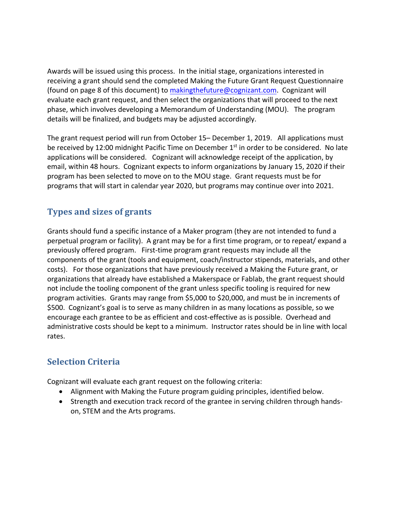Awards will be issued using this process. In the initial stage, organizations interested in receiving a grant should send the completed Making the Future Grant Request Questionnaire (found on page 8 of this document) to makingthefuture@cognizant.com. Cognizant will evaluate each grant request, and then select the organizations that will proceed to the next phase, which involves developing a Memorandum of Understanding (MOU). The program details will be finalized, and budgets may be adjusted accordingly.

The grant request period will run from October 15– December 1, 2019. All applications must be received by 12:00 midnight Pacific Time on December  $1<sup>st</sup>$  in order to be considered. No late applications will be considered. Cognizant will acknowledge receipt of the application, by email, within 48 hours. Cognizant expects to inform organizations by January 15, 2020 if their program has been selected to move on to the MOU stage. Grant requests must be for programs that will start in calendar year 2020, but programs may continue over into 2021.

## **Types and sizes of grants**

Grants should fund a specific instance of a Maker program (they are not intended to fund a perpetual program or facility). A grant may be for a first time program, or to repeat/ expand a previously offered program. First-time program grant requests may include all the components of the grant (tools and equipment, coach/instructor stipends, materials, and other costs). For those organizations that have previously received a Making the Future grant, or organizations that already have established a Makerspace or Fablab, the grant request should not include the tooling component of the grant unless specific tooling is required for new program activities. Grants may range from \$5,000 to \$20,000, and must be in increments of \$500. Cognizant's goal is to serve as many children in as many locations as possible, so we encourage each grantee to be as efficient and cost-effective as is possible. Overhead and administrative costs should be kept to a minimum. Instructor rates should be in line with local rates.

## **Selection Criteria**

Cognizant will evaluate each grant request on the following criteria:

- Alignment with Making the Future program guiding principles, identified below.
- Strength and execution track record of the grantee in serving children through handson, STEM and the Arts programs.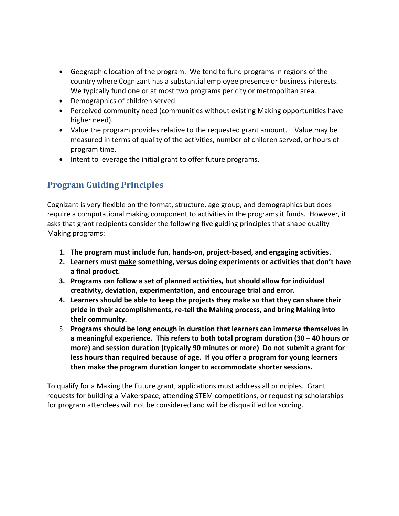- Geographic location of the program. We tend to fund programs in regions of the country where Cognizant has a substantial employee presence or business interests. We typically fund one or at most two programs per city or metropolitan area.
- Demographics of children served.
- Perceived community need (communities without existing Making opportunities have higher need).
- Value the program provides relative to the requested grant amount. Value may be measured in terms of quality of the activities, number of children served, or hours of program time.
- Intent to leverage the initial grant to offer future programs.

# **Program Guiding Principles**

Cognizant is very flexible on the format, structure, age group, and demographics but does require a computational making component to activities in the programs it funds. However, it asks that grant recipients consider the following five guiding principles that shape quality Making programs:

- **1. The program must include fun, hands-on, project-based, and engaging activities.**
- **2. Learners must make something, versus doing experiments or activities that don't have a final product.**
- **3. Programs can follow a set of planned activities, but should allow for individual creativity, deviation, experimentation, and encourage trial and error.**
- **4. Learners should be able to keep the projects they make so that they can share their pride in their accomplishments, re-tell the Making process, and bring Making into their community.**
- 5. **Programs should be long enough in duration that learners can immerse themselves in a meaningful experience. This refers to both total program duration (30 – 40 hours or more) and session duration (typically 90 minutes or more) Do not submit a grant for less hours than required because of age. If you offer a program for young learners then make the program duration longer to accommodate shorter sessions.**

To qualify for a Making the Future grant, applications must address all principles. Grant requests for building a Makerspace, attending STEM competitions, or requesting scholarships for program attendees will not be considered and will be disqualified for scoring.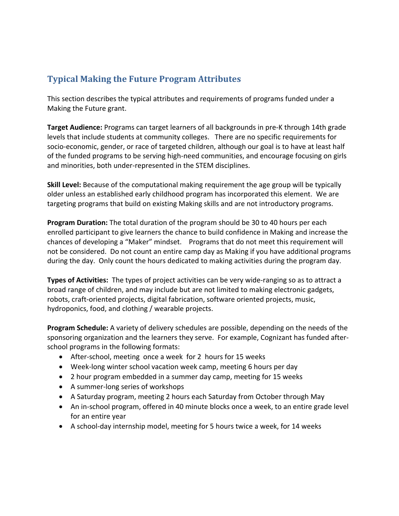## **Typical Making the Future Program Attributes**

This section describes the typical attributes and requirements of programs funded under a Making the Future grant.

**Target Audience:** Programs can target learners of all backgrounds in pre-K through 14th grade levels that include students at community colleges. There are no specific requirements for socio-economic, gender, or race of targeted children, although our goal is to have at least half of the funded programs to be serving high-need communities, and encourage focusing on girls and minorities, both under-represented in the STEM disciplines.

**Skill Level:** Because of the computational making requirement the age group will be typically older unless an established early childhood program has incorporated this element. We are targeting programs that build on existing Making skills and are not introductory programs.

**Program Duration:** The total duration of the program should be 30 to 40 hours per each enrolled participant to give learners the chance to build confidence in Making and increase the chances of developing a "Maker" mindset. Programs that do not meet this requirement will not be considered. Do not count an entire camp day as Making if you have additional programs during the day. Only count the hours dedicated to making activities during the program day.

**Types of Activities:** The types of project activities can be very wide-ranging so as to attract a broad range of children, and may include but are not limited to making electronic gadgets, robots, craft-oriented projects, digital fabrication, software oriented projects, music, hydroponics, food, and clothing / wearable projects.

**Program Schedule:** A variety of delivery schedules are possible, depending on the needs of the sponsoring organization and the learners they serve. For example, Cognizant has funded afterschool programs in the following formats:

- After-school, meeting once a week for 2 hours for 15 weeks
- Week-long winter school vacation week camp, meeting 6 hours per day
- 2 hour program embedded in a summer day camp, meeting for 15 weeks
- A summer-long series of workshops
- A Saturday program, meeting 2 hours each Saturday from October through May
- An in-school program, offered in 40 minute blocks once a week, to an entire grade level for an entire year
- A school-day internship model, meeting for 5 hours twice a week, for 14 weeks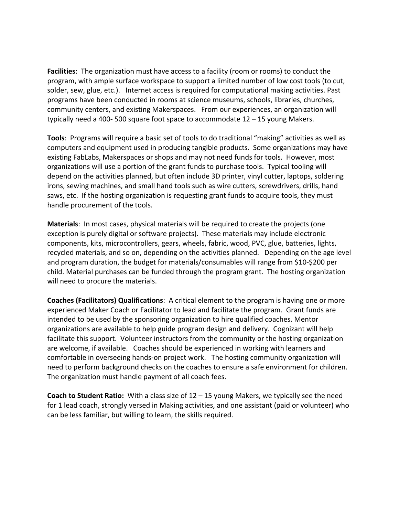**Facilities**: The organization must have access to a facility (room or rooms) to conduct the program, with ample surface workspace to support a limited number of low cost tools (to cut, solder, sew, glue, etc.). Internet access is required for computational making activities. Past programs have been conducted in rooms at science museums, schools, libraries, churches, community centers, and existing Makerspaces. From our experiences, an organization will typically need a 400- 500 square foot space to accommodate 12 – 15 young Makers.

**Tools**: Programs will require a basic set of tools to do traditional "making" activities as well as computers and equipment used in producing tangible products. Some organizations may have existing FabLabs, Makerspaces or shops and may not need funds for tools. However, most organizations will use a portion of the grant funds to purchase tools. Typical tooling will depend on the activities planned, but often include 3D printer, vinyl cutter, laptops, soldering irons, sewing machines, and small hand tools such as wire cutters, screwdrivers, drills, hand saws, etc. If the hosting organization is requesting grant funds to acquire tools, they must handle procurement of the tools.

**Materials**: In most cases, physical materials will be required to create the projects (one exception is purely digital or software projects). These materials may include electronic components, kits, microcontrollers, gears, wheels, fabric, wood, PVC, glue, batteries, lights, recycled materials, and so on, depending on the activities planned. Depending on the age level and program duration, the budget for materials/consumables will range from \$10-\$200 per child. Material purchases can be funded through the program grant. The hosting organization will need to procure the materials.

**Coaches (Facilitators) Qualifications**: A critical element to the program is having one or more experienced Maker Coach or Facilitator to lead and facilitate the program. Grant funds are intended to be used by the sponsoring organization to hire qualified coaches. Mentor organizations are available to help guide program design and delivery. Cognizant will help facilitate this support. Volunteer instructors from the community or the hosting organization are welcome, if available. Coaches should be experienced in working with learners and comfortable in overseeing hands-on project work. The hosting community organization will need to perform background checks on the coaches to ensure a safe environment for children. The organization must handle payment of all coach fees.

**Coach to Student Ratio:** With a class size of 12 – 15 young Makers, we typically see the need for 1 lead coach, strongly versed in Making activities, and one assistant (paid or volunteer) who can be less familiar, but willing to learn, the skills required.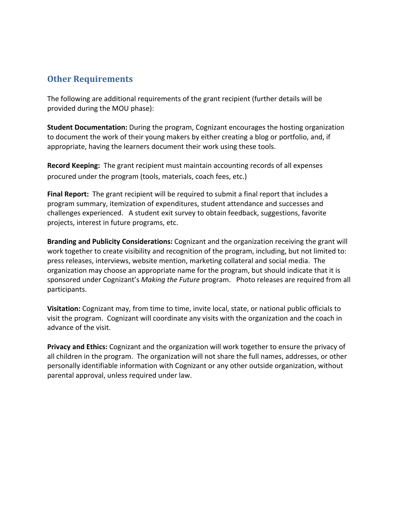#### **Other Requirements**

The following are additional requirements of the grant recipient (further details will be provided during the MOU phase):

**Student Documentation:** During the program, Cognizant encourages the hosting organization to document the work of their young makers by either creating a blog or portfolio, and, if appropriate, having the learners document their work using these tools.

**Record Keeping:** The grant recipient must maintain accounting records of all expenses procured under the program (tools, materials, coach fees, etc.)

**Final Report:** The grant recipient will be required to submit a final report that includes a program summary, itemization of expenditures, student attendance and successes and challenges experienced. A student exit survey to obtain feedback, suggestions, favorite projects, interest in future programs, etc.

**Branding and Publicity Considerations:** Cognizant and the organization receiving the grant will work together to create visibility and recognition of the program, including, but not limited to: press releases, interviews, website mention, marketing collateral and social media. The organization may choose an appropriate name for the program, but should indicate that it is sponsored under Cognizant's *Making the Future* program. Photo releases are required from all participants.

**Visitation:** Cognizant may, from time to time, invite local, state, or national public officials to visit the program. Cognizant will coordinate any visits with the organization and the coach in advance of the visit.

**Privacy and Ethics:** Cognizant and the organization will work together to ensure the privacy of all children in the program. The organization will not share the full names, addresses, or other personally identifiable information with Cognizant or any other outside organization, without parental approval, unless required under law.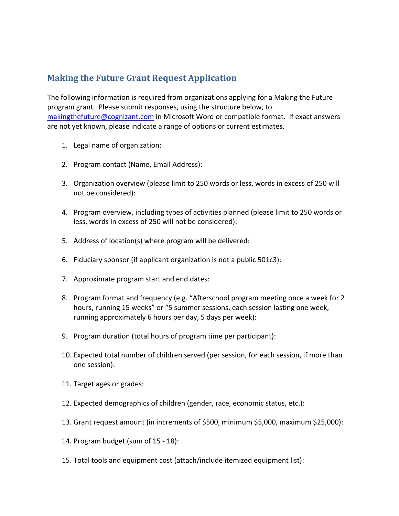## **Making the Future Grant Request Application**

The following information is required from organizations applying for a Making the Future program grant. Please submit responses, using the structure below, to makingthefuture@cognizant.com in Microsoft Word or compatible format. If exact answers are not yet known, please indicate a range of options or current estimates.

- 1. Legal name of organization:
- 2. Program contact (Name, Email Address):
- 3. Organization overview (please limit to 250 words or less, words in excess of 250 will not be considered):
- 4. Program overview, including types of activities planned (please limit to 250 words or less, words in excess of 250 will not be considered):
- 5. Address of location(s) where program will be delivered:
- 6. Fiduciary sponsor (if applicant organization is not a public 501c3):
- 7. Approximate program start and end dates:
- 8. Program format and frequency (e.g. "Afterschool program meeting once a week for 2 hours, running 15 weeks" or "5 summer sessions, each session lasting one week, running approximately 6 hours per day, 5 days per week):
- 9. Program duration (total hours of program time per participant):
- 10. Expected total number of children served (per session, for each session, if more than one session):
- 11. Target ages or grades:
- 12. Expected demographics of children (gender, race, economic status, etc.):
- 13. Grant request amount (in increments of \$500, minimum \$5,000, maximum \$25,000):
- 14. Program budget (sum of 15 18):
- 15. Total tools and equipment cost (attach/include itemized equipment list):